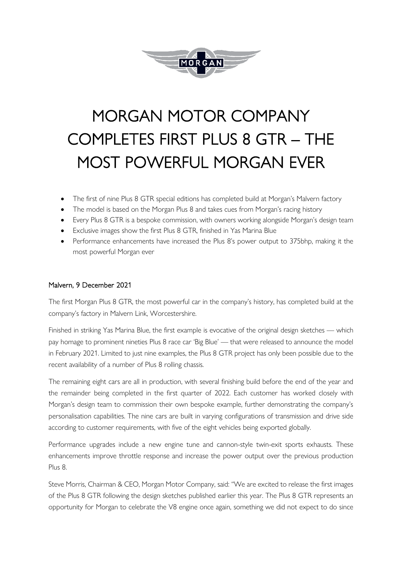

# MORGAN MOTOR COMPANY COMPLETES FIRST PLUS 8 GTR – THE MOST POWERFUL MORGAN EVER

- The first of nine Plus 8 GTR special editions has completed build at Morgan's Malvern factory
- The model is based on the Morgan Plus 8 and takes cues from Morgan's racing history
- Every Plus 8 GTR is a bespoke commission, with owners working alongside Morgan's design team
- Exclusive images show the first Plus 8 GTR, finished in Yas Marina Blue
- Performance enhancements have increased the Plus 8's power output to 375bhp, making it the most powerful Morgan ever

## Malvern, 9 December 2021

The first Morgan Plus 8 GTR, the most powerful car in the company's history, has completed build at the company's factory in Malvern Link, Worcestershire.

Finished in striking Yas Marina Blue, the first example is evocative of the original design sketches — which pay homage to prominent nineties Plus 8 race car 'Big Blue' — that were released to announce the model in February 2021. Limited to just nine examples, the Plus 8 GTR project has only been possible due to the recent availability of a number of Plus 8 rolling chassis.

The remaining eight cars are all in production, with several finishing build before the end of the year and the remainder being completed in the first quarter of 2022. Each customer has worked closely with Morgan's design team to commission their own bespoke example, further demonstrating the company's personalisation capabilities. The nine cars are built in varying configurations of transmission and drive side according to customer requirements, with five of the eight vehicles being exported globally.

Performance upgrades include a new engine tune and cannon-style twin-exit sports exhausts. These enhancements improve throttle response and increase the power output over the previous production Plus 8.

Steve Morris, Chairman & CEO, Morgan Motor Company, said: "We are excited to release the first images of the Plus 8 GTR following the design sketches published earlier this year. The Plus 8 GTR represents an opportunity for Morgan to celebrate the V8 engine once again, something we did not expect to do since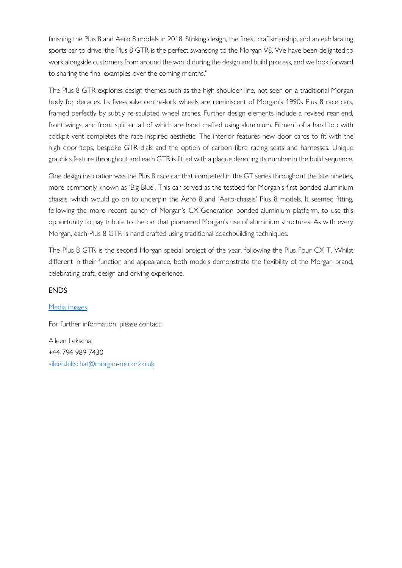finishing the Plus 8 and Aero 8 models in 2018. Striking design, the finest craftsmanship, and an exhilarating sports car to drive, the Plus 8 GTR is the perfect swansong to the Morgan V8. We have been delighted to work alongside customers from around the world during the design and build process, and we look forward to sharing the final examples over the coming months."

The Plus 8 GTR explores design themes such as the high shoulder line, not seen on a traditional Morgan body for decades. Its five-spoke centre-lock wheels are reminiscent of Morgan's 1990s Plus 8 race cars, framed perfectly by subtly re-sculpted wheel arches. Further design elements include a revised rear end, front wings, and front splitter, all of which are hand crafted using aluminium. Fitment of a hard top with cockpit vent completes the race-inspired aesthetic. The interior features new door cards to fit with the high door tops, bespoke GTR dials and the option of carbon fibre racing seats and harnesses. Unique graphics feature throughout and each GTR is fitted with a plaque denoting its number in the build sequence.

One design inspiration was the Plus 8 race car that competed in the GT series throughout the late nineties, more commonly known as 'Big Blue'. This car served as the testbed for Morgan's first bonded-aluminium chassis, which would go on to underpin the Aero 8 and 'Aero-chassis' Plus 8 models. It seemed fitting, following the more recent launch of Morgan's CX-Generation bonded-aluminium platform, to use this opportunity to pay tribute to the car that pioneered Morgan's use of aluminium structures. As with every Morgan, each Plus 8 GTR is hand crafted using traditional coachbuilding techniques.

The Plus 8 GTR is the second Morgan special project of the year, following the Plus Four CX-T. Whilst different in their function and appearance, both models demonstrate the flexibility of the Morgan brand, celebrating craft, design and driving experience.

### ENDS

### [Media images](https://www.dropbox.com/sh/hmlkwzgc328pgjo/AACa4o0OtA-Aj9Sx5xLH3rpka?dl=0)

For further information, please contact:

Aileen Lekschat +44 794 989 7430 [aileen.lekschat@morgan-motor.co.uk](mailto:aileen.lekschat@morgan-motor.co.uk)